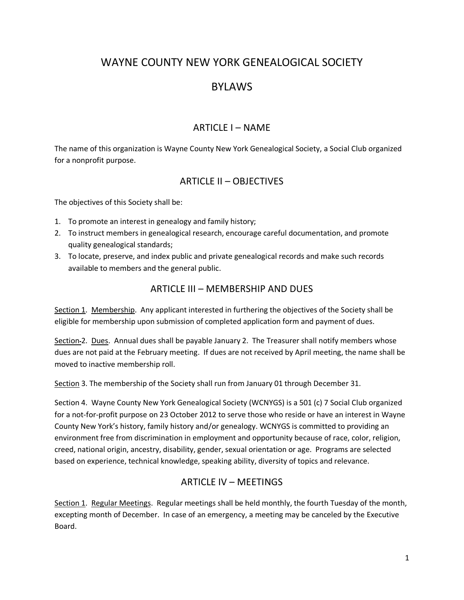# WAYNE COUNTY NEW YORK GENEALOGICAL SOCIETY

# BYLAWS

### ARTICLE I – NAME

The name of this organization is Wayne County New York Genealogical Society, a Social Club organized for a nonprofit purpose.

# ARTICLE II – OBJECTIVES

The objectives of this Society shall be:

- 1. To promote an interest in genealogy and family history;
- 2. To instruct members in genealogical research, encourage careful documentation, and promote quality genealogical standards;
- 3. To locate, preserve, and index public and private genealogical records and make such records available to members and the general public.

# ARTICLE III – MEMBERSHIP AND DUES

Section 1. Membership. Any applicant interested in furthering the objectives of the Society shall be eligible for membership upon submission of completed application form and payment of dues.

Section-2. Dues. Annual dues shall be payable January 2. The Treasurer shall notify members whose dues are not paid at the February meeting. If dues are not received by April meeting, the name shall be moved to inactive membership roll.

Section 3. The membership of the Society shall run from January 01 through December 31.

Section 4. Wayne County New York Genealogical Society (WCNYGS) is a 501 (c) 7 Social Club organized for a not-for-profit purpose on 23 October 2012 to serve those who reside or have an interest in Wayne County New York's history, family history and/or genealogy. WCNYGS is committed to providing an environment free from discrimination in employment and opportunity because of race, color, religion, creed, national origin, ancestry, disability, gender, sexual orientation or age. Programs are selected based on experience, technical knowledge, speaking ability, diversity of topics and relevance.

# ARTICLE IV – MEETINGS

Section 1. Regular Meetings. Regular meetings shall be held monthly, the fourth Tuesday of the month, excepting month of December. In case of an emergency, a meeting may be canceled by the Executive Board.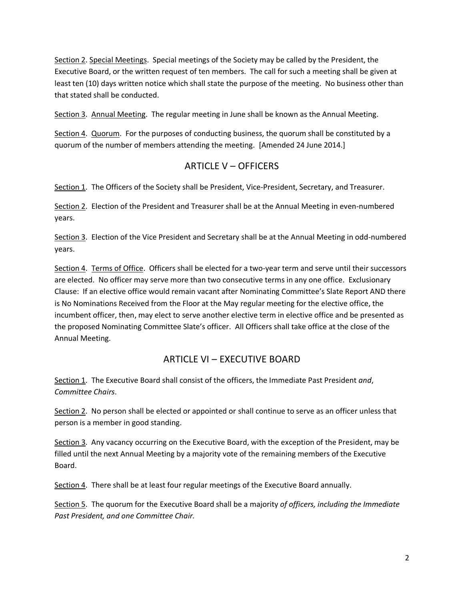Section 2. Special Meetings. Special meetings of the Society may be called by the President, the Executive Board, or the written request of ten members. The call for such a meeting shall be given at least ten (10) days written notice which shall state the purpose of the meeting. No business other than that stated shall be conducted.

Section 3. Annual Meeting. The regular meeting in June shall be known as the Annual Meeting.

Section 4. Quorum. For the purposes of conducting business, the quorum shall be constituted by a quorum of the number of members attending the meeting. [Amended 24 June 2014.]

#### ARTICLE V – OFFICERS

Section 1. The Officers of the Society shall be President, Vice-President, Secretary, and Treasurer.

Section 2. Election of the President and Treasurer shall be at the Annual Meeting in even-numbered years.

Section 3. Election of the Vice President and Secretary shall be at the Annual Meeting in odd-numbered years.

Section 4. Terms of Office. Officers shall be elected for a two-year term and serve until their successors are elected. No officer may serve more than two consecutive terms in any one office. Exclusionary Clause: If an elective office would remain vacant after Nominating Committee's Slate Report AND there is No Nominations Received from the Floor at the May regular meeting for the elective office, the incumbent officer, then, may elect to serve another elective term in elective office and be presented as the proposed Nominating Committee Slate's officer. All Officers shall take office at the close of the Annual Meeting.

### ARTICLE VI – EXECUTIVE BOARD

Section 1. The Executive Board shall consist of the officers, the Immediate Past President *and*, *Committee Chairs*.

Section 2. No person shall be elected or appointed or shall continue to serve as an officer unless that person is a member in good standing.

Section 3. Any vacancy occurring on the Executive Board, with the exception of the President, may be filled until the next Annual Meeting by a majority vote of the remaining members of the Executive Board.

Section 4. There shall be at least four regular meetings of the Executive Board annually.

Section 5. The quorum for the Executive Board shall be a majority *of officers, including the Immediate Past President, and one Committee Chair.*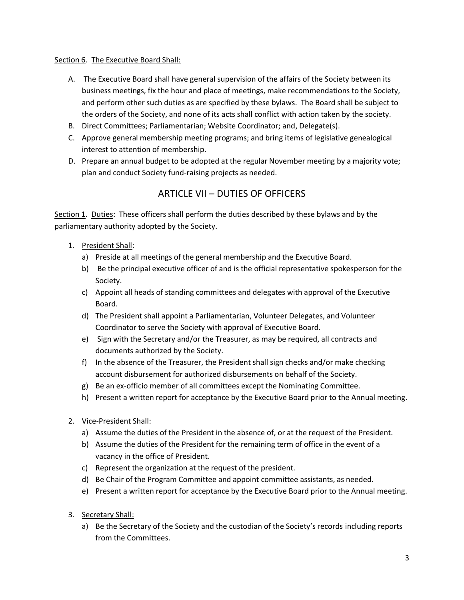#### Section 6. The Executive Board Shall:

- A. The Executive Board shall have general supervision of the affairs of the Society between its business meetings, fix the hour and place of meetings, make recommendations to the Society, and perform other such duties as are specified by these bylaws. The Board shall be subject to the orders of the Society, and none of its acts shall conflict with action taken by the society.
- B. Direct Committees; Parliamentarian; Website Coordinator; and, Delegate(s).
- C. Approve general membership meeting programs; and bring items of legislative genealogical interest to attention of membership.
- D. Prepare an annual budget to be adopted at the regular November meeting by a majority vote; plan and conduct Society fund-raising projects as needed.

# ARTICLE VII – DUTIES OF OFFICERS

Section 1. Duties: These officers shall perform the duties described by these bylaws and by the parliamentary authority adopted by the Society.

- 1. President Shall:
	- a) Preside at all meetings of the general membership and the Executive Board.
	- b) Be the principal executive officer of and is the official representative spokesperson for the Society.
	- c) Appoint all heads of standing committees and delegates with approval of the Executive Board.
	- d) The President shall appoint a Parliamentarian, Volunteer Delegates, and Volunteer Coordinator to serve the Society with approval of Executive Board.
	- e) Sign with the Secretary and/or the Treasurer, as may be required, all contracts and documents authorized by the Society.
	- f) In the absence of the Treasurer, the President shall sign checks and/or make checking account disbursement for authorized disbursements on behalf of the Society.
	- g) Be an ex-officio member of all committees except the Nominating Committee.
	- h) Present a written report for acceptance by the Executive Board prior to the Annual meeting.
- 2. Vice-President Shall:
	- a) Assume the duties of the President in the absence of, or at the request of the President.
	- b) Assume the duties of the President for the remaining term of office in the event of a vacancy in the office of President.
	- c) Represent the organization at the request of the president.
	- d) Be Chair of the Program Committee and appoint committee assistants, as needed.
	- e) Present a written report for acceptance by the Executive Board prior to the Annual meeting.
- 3. Secretary Shall:
	- a) Be the Secretary of the Society and the custodian of the Society's records including reports from the Committees.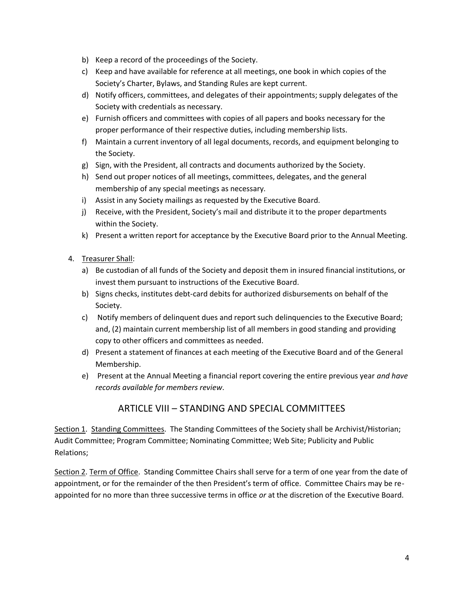- b) Keep a record of the proceedings of the Society.
- c) Keep and have available for reference at all meetings, one book in which copies of the Society's Charter, Bylaws, and Standing Rules are kept current.
- d) Notify officers, committees, and delegates of their appointments; supply delegates of the Society with credentials as necessary.
- e) Furnish officers and committees with copies of all papers and books necessary for the proper performance of their respective duties, including membership lists.
- f) Maintain a current inventory of all legal documents, records, and equipment belonging to the Society.
- g) Sign, with the President, all contracts and documents authorized by the Society.
- h) Send out proper notices of all meetings, committees, delegates, and the general membership of any special meetings as necessary.
- i) Assist in any Society mailings as requested by the Executive Board.
- j) Receive, with the President, Society's mail and distribute it to the proper departments within the Society.
- k) Present a written report for acceptance by the Executive Board prior to the Annual Meeting.
- 4. Treasurer Shall:
	- a) Be custodian of all funds of the Society and deposit them in insured financial institutions, or invest them pursuant to instructions of the Executive Board.
	- b) Signs checks, institutes debt-card debits for authorized disbursements on behalf of the Society.
	- c) Notify members of delinquent dues and report such delinquencies to the Executive Board; and, (2) maintain current membership list of all members in good standing and providing copy to other officers and committees as needed.
	- d) Present a statement of finances at each meeting of the Executive Board and of the General Membership.
	- e) Present at the Annual Meeting a financial report covering the entire previous year *and have records available for members review*.

### ARTICLE VIII – STANDING AND SPECIAL COMMITTEES

Section 1. Standing Committees. The Standing Committees of the Society shall be Archivist/Historian; Audit Committee; Program Committee; Nominating Committee; Web Site; Publicity and Public Relations;

Section 2. Term of Office. Standing Committee Chairs shall serve for a term of one year from the date of appointment, or for the remainder of the then President's term of office. Committee Chairs may be reappointed for no more than three successive terms in office *or* at the discretion of the Executive Board.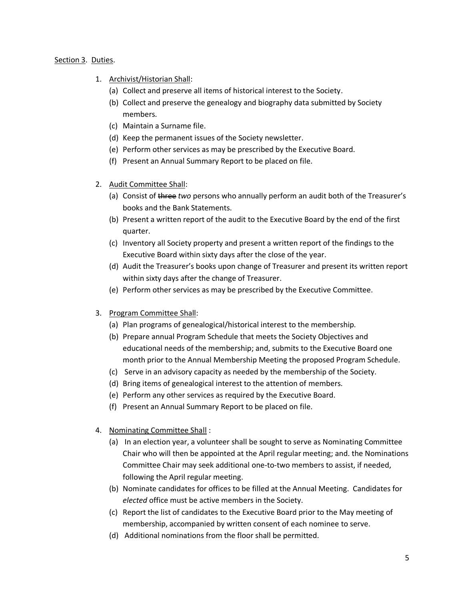#### Section 3. Duties.

- 1. Archivist/Historian Shall:
	- (a) Collect and preserve all items of historical interest to the Society.
	- (b) Collect and preserve the genealogy and biography data submitted by Society members.
	- (c) Maintain a Surname file.
	- (d) Keep the permanent issues of the Society newsletter.
	- (e) Perform other services as may be prescribed by the Executive Board.
	- (f) Present an Annual Summary Report to be placed on file.
- 2. Audit Committee Shall:
	- (a) Consist of three *two* persons who annually perform an audit both of the Treasurer's books and the Bank Statements.
	- (b) Present a written report of the audit to the Executive Board by the end of the first quarter.
	- (c) Inventory all Society property and present a written report of the findings to the Executive Board within sixty days after the close of the year.
	- (d) Audit the Treasurer's books upon change of Treasurer and present its written report within sixty days after the change of Treasurer.
	- (e) Perform other services as may be prescribed by the Executive Committee.
- 3. Program Committee Shall:
	- (a) Plan programs of genealogical/historical interest to the membership.
	- (b) Prepare annual Program Schedule that meets the Society Objectives and educational needs of the membership; and, submits to the Executive Board one month prior to the Annual Membership Meeting the proposed Program Schedule.
	- (c) Serve in an advisory capacity as needed by the membership of the Society.
	- (d) Bring items of genealogical interest to the attention of members.
	- (e) Perform any other services as required by the Executive Board.
	- (f) Present an Annual Summary Report to be placed on file.
- 4. Nominating Committee Shall :
	- (a) In an election year, a volunteer shall be sought to serve as Nominating Committee Chair who will then be appointed at the April regular meeting; and. the Nominations Committee Chair may seek additional one-to-two members to assist, if needed, following the April regular meeting.
	- (b) Nominate candidates for offices to be filled at the Annual Meeting. Candidates for *elected* office must be active members in the Society.
	- (c) Report the list of candidates to the Executive Board prior to the May meeting of membership, accompanied by written consent of each nominee to serve.
	- (d) Additional nominations from the floor shall be permitted.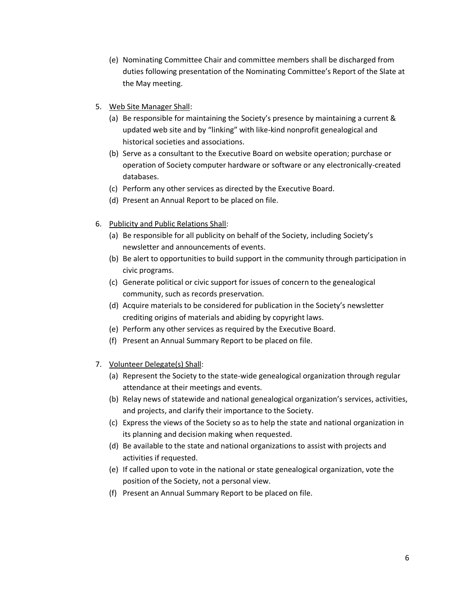- (e) Nominating Committee Chair and committee members shall be discharged from duties following presentation of the Nominating Committee's Report of the Slate at the May meeting.
- 5. Web Site Manager Shall:
	- (a) Be responsible for maintaining the Society's presence by maintaining a current & updated web site and by "linking" with like-kind nonprofit genealogical and historical societies and associations.
	- (b) Serve as a consultant to the Executive Board on website operation; purchase or operation of Society computer hardware or software or any electronically-created databases.
	- (c) Perform any other services as directed by the Executive Board.
	- (d) Present an Annual Report to be placed on file.
- 6. Publicity and Public Relations Shall:
	- (a) Be responsible for all publicity on behalf of the Society, including Society's newsletter and announcements of events.
	- (b) Be alert to opportunities to build support in the community through participation in civic programs.
	- (c) Generate political or civic support for issues of concern to the genealogical community, such as records preservation.
	- (d) Acquire materials to be considered for publication in the Society's newsletter crediting origins of materials and abiding by copyright laws.
	- (e) Perform any other services as required by the Executive Board.
	- (f) Present an Annual Summary Report to be placed on file.
- 7. Volunteer Delegate(s) Shall:
	- (a) Represent the Society to the state-wide genealogical organization through regular attendance at their meetings and events.
	- (b) Relay news of statewide and national genealogical organization's services, activities, and projects, and clarify their importance to the Society.
	- (c) Express the views of the Society so as to help the state and national organization in its planning and decision making when requested.
	- (d) Be available to the state and national organizations to assist with projects and activities if requested.
	- (e) If called upon to vote in the national or state genealogical organization, vote the position of the Society, not a personal view.
	- (f) Present an Annual Summary Report to be placed on file.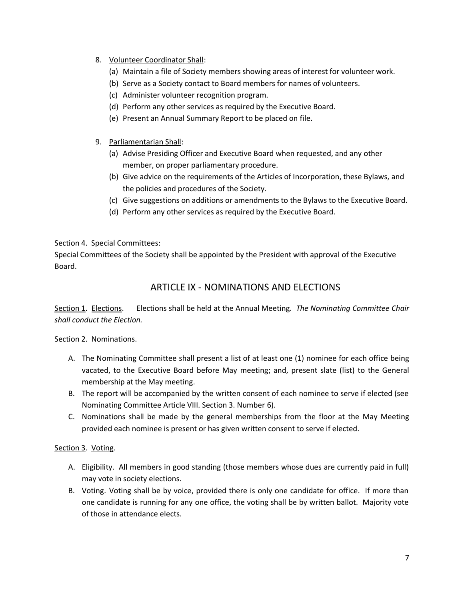- 8. Volunteer Coordinator Shall:
	- (a) Maintain a file of Society members showing areas of interest for volunteer work.
	- (b) Serve as a Society contact to Board members for names of volunteers.
	- (c) Administer volunteer recognition program.
	- (d) Perform any other services as required by the Executive Board.
	- (e) Present an Annual Summary Report to be placed on file.
- 9. Parliamentarian Shall:
	- (a) Advise Presiding Officer and Executive Board when requested, and any other member, on proper parliamentary procedure.
	- (b) Give advice on the requirements of the Articles of Incorporation, these Bylaws, and the policies and procedures of the Society.
	- (c) Give suggestions on additions or amendments to the Bylaws to the Executive Board.
	- (d) Perform any other services as required by the Executive Board.

#### Section 4. Special Committees:

Special Committees of the Society shall be appointed by the President with approval of the Executive Board.

## ARTICLE IX - NOMINATIONS AND ELECTIONS

Section 1. Elections. Elections shall be held at the Annual Meeting. *The Nominating Committee Chair shall conduct the Election.*

#### Section 2. Nominations.

- A. The Nominating Committee shall present a list of at least one (1) nominee for each office being vacated, to the Executive Board before May meeting; and, present slate (list) to the General membership at the May meeting.
- B. The report will be accompanied by the written consent of each nominee to serve if elected (see Nominating Committee Article VIII. Section 3. Number 6).
- C. Nominations shall be made by the general memberships from the floor at the May Meeting provided each nominee is present or has given written consent to serve if elected.

#### Section 3. Voting.

- A. Eligibility. All members in good standing (those members whose dues are currently paid in full) may vote in society elections.
- B. Voting. Voting shall be by voice, provided there is only one candidate for office. If more than one candidate is running for any one office, the voting shall be by written ballot. Majority vote of those in attendance elects.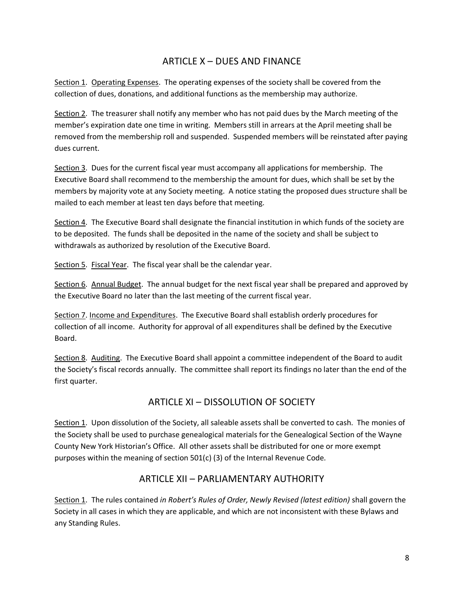### ARTICLE X – DUES AND FINANCE

Section 1. Operating Expenses. The operating expenses of the society shall be covered from the collection of dues, donations, and additional functions as the membership may authorize.

Section 2. The treasurer shall notify any member who has not paid dues by the March meeting of the member's expiration date one time in writing. Members still in arrears at the April meeting shall be removed from the membership roll and suspended. Suspended members will be reinstated after paying dues current.

Section 3. Dues for the current fiscal year must accompany all applications for membership. The Executive Board shall recommend to the membership the amount for dues, which shall be set by the members by majority vote at any Society meeting. A notice stating the proposed dues structure shall be mailed to each member at least ten days before that meeting.

Section 4. The Executive Board shall designate the financial institution in which funds of the society are to be deposited. The funds shall be deposited in the name of the society and shall be subject to withdrawals as authorized by resolution of the Executive Board.

Section 5. Fiscal Year. The fiscal year shall be the calendar year.

Section 6. Annual Budget. The annual budget for the next fiscal year shall be prepared and approved by the Executive Board no later than the last meeting of the current fiscal year.

Section 7. Income and Expenditures. The Executive Board shall establish orderly procedures for collection of all income. Authority for approval of all expenditures shall be defined by the Executive Board.

Section 8. Auditing. The Executive Board shall appoint a committee independent of the Board to audit the Society's fiscal records annually. The committee shall report its findings no later than the end of the first quarter.

# ARTICLE XI – DISSOLUTION OF SOCIETY

Section 1. Upon dissolution of the Society, all saleable assets shall be converted to cash. The monies of the Society shall be used to purchase genealogical materials for the Genealogical Section of the Wayne County New York Historian's Office. All other assets shall be distributed for one or more exempt purposes within the meaning of section 501(c) (3) of the Internal Revenue Code.

### ARTICLE XII – PARLIAMENTARY AUTHORITY

Section 1. The rules contained *in Robert's Rules of Order, Newly Revised (latest edition)* shall govern the Society in all cases in which they are applicable, and which are not inconsistent with these Bylaws and any Standing Rules.